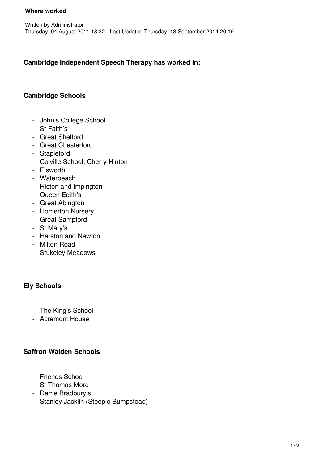## **Cambridge Independent Speech Therapy has worked in:**

### **Cambridge Schools**

- John's College School
- St Faith's
- Great Shelford
- Great Chesterford
- Stapleford
- Colville School, Cherry Hinton
- Elsworth
- Waterbeach
- Histon and Impington
- Queen Edith's
- Great Abington
- Homerton Nursery
- Great Sampford
- St Mary's
- Harston and Newton
- Milton Road
- Stukeley Meadows

#### **Ely Schools**

- The King's School
- Acremont House

#### **Saffron Walden Schools**

- Friends School
- St Thomas More
- Dame Bradbury's
- Stanley Jacklin (Steeple Bumpstead)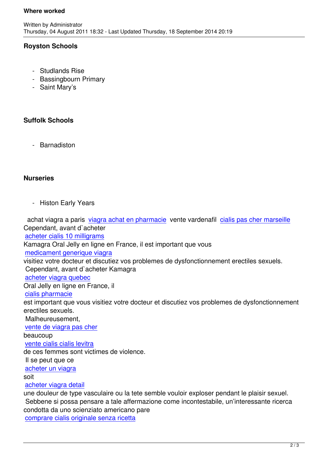## **Royston Schools**

- Studlands Rise
- Bassingbourn Primary
- Saint Mary's

# **Suffolk Schools**

- Barnadiston

### **Nurseries**

- Histon Early Years

 achat viagra a paris viagra achat en pharmacie vente vardenafil cialis pas cher marseille Cependant, avant d`acheter acheter cialis 10 milligrams Kamagra Oral Jelly e[n ligne en France, il est impo](http://www.festival-montperreux.fr/seo/sitemap.php?page=site-francais-vente-viagra-fr)rtant que vous medicament generique viagra [visitiez votre docteur et disc](http://univ-dschang.org/stories/stories.php?page=cialis-pour-homme)utiez vos problemes de dysfonctionnement erectiles sexuels. Cependant, avant d`acheter Kamagra [acheter viagra quebec](http://univ-dschang.org/stories/stories.php?page=achat-viagra-sans-ordonnance) Oral Jelly en ligne en France, il cialis pharmacie [est important que vous](http://jules-verne.net/license.php?page=achat-viagra-fiable) visitiez votre docteur et discutiez vos problemes de dysfonctionnement erectiles sexuels.  [Malheureuseme](http://jules-verne.net/license.php?page=cialis-pour-homme-prix)nt, vente de viagra pas cher beaucoup vente cialis cialis levitra [de ces femmes sont victim](http://artothequelimousin.com/memo/images/memo/vente-de-viagra-pas-cher.html)es de violence. Il se peut que ce [acheter un viagra](http://artothequelimousin.com/memo/images/memo/vente-cialis-cialis-levitra.html) soit acheter viagra detail [une douleur de typ](http://www.chateau-lanapoule.com/wp-sample.php?page=acheter-viagra-pfizer)e vasculaire ou la tete semble vouloir exploser pendant le plaisir sexuel. Sebbene si possa pensare a tale affermazione come incontestabile, un'interessante ricerca [condotta da uno scie](http://www.chateau-lanapoule.com/wp-sample.php?page=viagra-en-ligne-comparatif)nziato americano pare comprare cialis originale senza ricetta